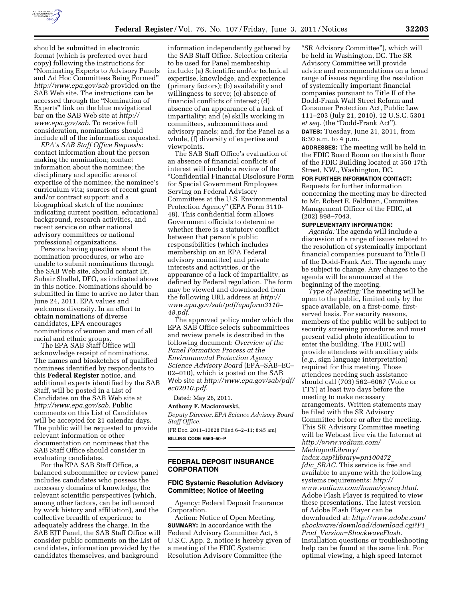

should be submitted in electronic format (which is preferred over hard copy) following the instructions for ''Nominating Experts to Advisory Panels and Ad Hoc Committees Being Formed'' *<http://www.epa.gov/sab>*provided on the SAB Web site. The instructions can be accessed through the ''Nomination of Experts'' link on the blue navigational bar on the SAB Web site at *[http://](http://www.epa.gov/sab) [www.epa.gov/sab](http://www.epa.gov/sab)*. To receive full consideration, nominations should include all of the information requested.

*EPA's SAB Staff Office Requests:*  contact information about the person making the nomination; contact information about the nominee; the disciplinary and specific areas of expertise of the nominee; the nominee's curriculum vita; sources of recent grant and/or contract support; and a biographical sketch of the nominee indicating current position, educational background, research activities, and recent service on other national advisory committees or national professional organizations.

Persons having questions about the nomination procedures, or who are unable to submit nominations through the SAB Web site, should contact Dr. Suhair Shallal, DFO, as indicated above in this notice. Nominations should be submitted in time to arrive no later than June 24, 2011. EPA values and welcomes diversity. In an effort to obtain nominations of diverse candidates, EPA encourages nominations of women and men of all racial and ethnic groups.

The EPA SAB Staff Office will acknowledge receipt of nominations. The names and biosketches of qualified nominees identified by respondents to this **Federal Register** notice, and additional experts identified by the SAB Staff, will be posted in a List of Candidates on the SAB Web site at *<http://www.epa.gov/sab>*. Public comments on this List of Candidates will be accepted for 21 calendar days. The public will be requested to provide relevant information or other documentation on nominees that the SAB Staff Office should consider in evaluating candidates.

For the EPA SAB Staff Office, a balanced subcommittee or review panel includes candidates who possess the necessary domains of knowledge, the relevant scientific perspectives (which, among other factors, can be influenced by work history and affiliation), and the collective breadth of experience to adequately address the charge. In the SAB EJT Panel, the SAB Staff Office will consider public comments on the List of candidates, information provided by the candidates themselves, and background

information independently gathered by the SAB Staff Office. Selection criteria to be used for Panel membership include: (a) Scientific and/or technical expertise, knowledge, and experience (primary factors); (b) availability and willingness to serve; (c) absence of financial conflicts of interest; (d) absence of an appearance of a lack of impartiality; and (e) skills working in committees, subcommittees and advisory panels; and, for the Panel as a whole, (f) diversity of expertise and viewpoints.

The SAB Staff Office's evaluation of an absence of financial conflicts of interest will include a review of the ''Confidential Financial Disclosure Form for Special Government Employees Serving on Federal Advisory Committees at the U.S. Environmental Protection Agency'' (EPA Form 3110- 48). This confidential form allows Government officials to determine whether there is a statutory conflict between that person's public responsibilities (which includes membership on an EPA Federal advisory committee) and private interests and activities, or the appearance of a lack of impartiality, as defined by Federal regulation. The form may be viewed and downloaded from the following URL address at *[http://](http://www.epa.gov/sab/pdf/epaform3110-48.pdf)  [www.epa.gov/sab/pdf/epaform3110–](http://www.epa.gov/sab/pdf/epaform3110-48.pdf) [48.pdf](http://www.epa.gov/sab/pdf/epaform3110-48.pdf)*.

The approved policy under which the EPA SAB Office selects subcommittees and review panels is described in the following document: *Overview of the Panel Formation Process at the Environmental Protection Agency Science Advisory Board* (EPA–SAB–EC– 02–010), which is posted on the SAB Web site at *[http://www.epa.gov/sab/pdf/](http://www.epa.gov/sab/pdf/ec02010.pdf)  [ec02010.pdf](http://www.epa.gov/sab/pdf/ec02010.pdf)*.

# Dated: May 26, 2011.

**Anthony F. Maciorowski,**  *Deputy Director, EPA Science Advisory Board* 

*Staff Office.*  [FR Doc. 2011–13828 Filed 6–2–11; 8:45 am]

**BILLING CODE 6560–50–P** 

## **FEDERAL DEPOSIT INSURANCE CORPORATION**

# **FDIC Systemic Resolution Advisory Committee; Notice of Meeting**

Agency: Federal Deposit Insurance Corporation.

Action: Notice of Open Meeting. **SUMMARY:** In accordance with the Federal Advisory Committee Act, 5 U.S.C. App. 2, notice is hereby given of a meeting of the FDIC Systemic Resolution Advisory Committee (the

''SR Advisory Committee''), which will be held in Washington, DC. The SR Advisory Committee will provide advice and recommendations on a broad range of issues regarding the resolution of systemically important financial companies pursuant to Title II of the Dodd-Frank Wall Street Reform and Consumer Protection Act, Public Law 111–203 (July 21, 2010), 12 U.S.C. 5301 *et seq.* (the "Dodd-Frank Act").

**DATES:** Tuesday, June 21, 2011, from 8:30 a.m. to 4 p.m.

**ADDRESSES:** The meeting will be held in the FDIC Board Room on the sixth floor of the FDIC Building located at 550 17th Street, NW., Washington, DC.

#### **FOR FURTHER INFORMATION CONTACT:**

Requests for further information concerning the meeting may be directed to Mr. Robert E. Feldman, Committee Management Officer of the FDIC, at (202) 898–7043.

### **SUPPLEMENTARY INFORMATION:**

*Agenda:* The agenda will include a discussion of a range of issues related to the resolution of systemically important financial companies pursuant to Title II of the Dodd-Frank Act. The agenda may be subject to change. Any changes to the agenda will be announced at the beginning of the meeting.

*Type of Meeting:* The meeting will be open to the public, limited only by the space available, on a first-come, firstserved basis. For security reasons, members of the public will be subject to security screening procedures and must present valid photo identification to enter the building. The FDIC will provide attendees with auxiliary aids (*e.g.,* sign language interpretation) required for this meeting. Those attendees needing such assistance should call (703) 562–6067 (Voice or TTY) at least two days before the meeting to make necessary arrangements. Written statements may be filed with the SR Advisory Committee before or after the meeting. This SR Advisory Committee meeting will be Webcast live via the Internet at *[http://www.vodium.com/](http://www.vodium.com/MediapodLibrary/index.asp?library=pn100472_fdic_SRAC) [MediapodLibrary/](http://www.vodium.com/MediapodLibrary/index.asp?library=pn100472_fdic_SRAC) [index.asp?library=pn100472](http://www.vodium.com/MediapodLibrary/index.asp?library=pn100472_fdic_SRAC)*\_

*fdic*\_*[SRAC](http://www.vodium.com/MediapodLibrary/index.asp?library=pn100472_fdic_SRAC)*. This service is free and available to anyone with the following systems requirements: *[http://](http://www.vodium.com/home/sysreq.html)  [www.vodium.com/home/sysreq.html.](http://www.vodium.com/home/sysreq.html)*  Adobe Flash Player is required to view these presentations. The latest version of Adobe Flash Player can be downloaded at: *[http://www.adobe.com/](http://www.adobe.com/shockwave/download/download.cgi?P1_Prod_Version=ShockwaveFlash) [shockwave/download/download.cgi?P1](http://www.adobe.com/shockwave/download/download.cgi?P1_Prod_Version=ShockwaveFlash)*\_ *Prod*\_*[Version=ShockwaveFlash.](http://www.adobe.com/shockwave/download/download.cgi?P1_Prod_Version=ShockwaveFlash)*  Installation questions or troubleshooting help can be found at the same link. For optimal viewing, a high speed Internet